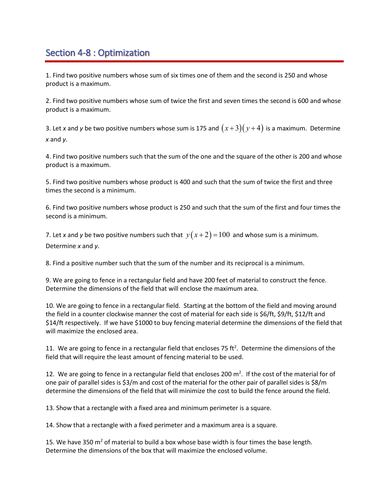## Section 4-8 : Optimization

1. Find two positive numbers whose sum of six times one of them and the second is 250 and whose product is a maximum.

2. Find two positive numbers whose sum of twice the first and seven times the second is 600 and whose product is a maximum.

3. Let *x* and *y* be two positive numbers whose sum is 175 and  $(x+3)(y+4)$  is a maximum. Determine *x* and *y*.

4. Find two positive numbers such that the sum of the one and the square of the other is 200 and whose product is a maximum.

5. Find two positive numbers whose product is 400 and such that the sum of twice the first and three times the second is a minimum.

6. Find two positive numbers whose product is 250 and such that the sum of the first and four times the second is a minimum.

7. Let *x* and *y* be two positive numbers such that  $y(x+2) = 100$  and whose sum is a minimum. Determine *x* and *y*.

8. Find a positive number such that the sum of the number and its reciprocal is a minimum.

9. We are going to fence in a rectangular field and have 200 feet of material to construct the fence. Determine the dimensions of the field that will enclose the maximum area.

10. We are going to fence in a rectangular field. Starting at the bottom of the field and moving around the field in a counter clockwise manner the cost of material for each side is \$6/ft, \$9/ft, \$12/ft and \$14/ft respectively. If we have \$1000 to buy fencing material determine the dimensions of the field that will maximize the enclosed area.

11. We are going to fence in a rectangular field that encloses 75 ft<sup>2</sup>. Determine the dimensions of the field that will require the least amount of fencing material to be used.

12. We are going to fence in a rectangular field that encloses 200  $m^2$ . If the cost of the material for of one pair of parallel sides is \$3/m and cost of the material for the other pair of parallel sides is \$8/m determine the dimensions of the field that will minimize the cost to build the fence around the field.

13. Show that a rectangle with a fixed area and minimum perimeter is a square.

14. Show that a rectangle with a fixed perimeter and a maximum area is a square.

15. We have 350  $\text{m}^2$  of material to build a box whose base width is four times the base length. Determine the dimensions of the box that will maximize the enclosed volume.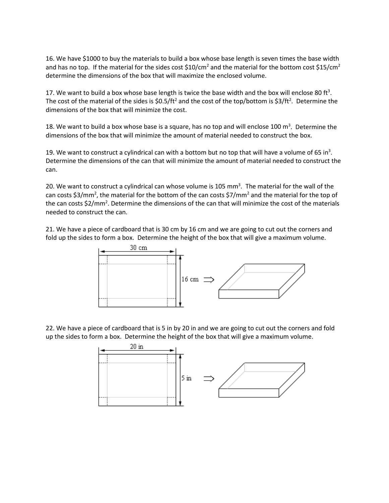16. We have \$1000 to buy the materials to build a box whose base length is seven times the base width and has no top. If the material for the sides cost  $$10/cm<sup>2</sup>$  and the material for the bottom cost  $$15/cm<sup>2</sup>$ determine the dimensions of the box that will maximize the enclosed volume.

17. We want to build a box whose base length is twice the base width and the box will enclose 80 ft<sup>3</sup>. The cost of the material of the sides is  $$0.5/ft^2$  and the cost of the top/bottom is  $$3/ft^2$ . Determine the dimensions of the box that will minimize the cost.

18. We want to build a box whose base is a square, has no top and will enclose 100 m<sup>3</sup>. Determine the dimensions of the box that will minimize the amount of material needed to construct the box.

19. We want to construct a cylindrical can with a bottom but no top that will have a volume of 65 in<sup>3</sup>. Determine the dimensions of the can that will minimize the amount of material needed to construct the can.

20. We want to construct a cylindrical can whose volume is 105 mm<sup>3</sup>. The material for the wall of the can costs \$3/mm<sup>2</sup>, the material for the bottom of the can costs \$7/mm<sup>2</sup> and the material for the top of the can costs \$2/mm<sup>2</sup>. Determine the dimensions of the can that will minimize the cost of the materials needed to construct the can.

21. We have a piece of cardboard that is 30 cm by 16 cm and we are going to cut out the corners and fold up the sides to form a box. Determine the height of the box that will give a maximum volume.



22. We have a piece of cardboard that is 5 in by 20 in and we are going to cut out the corners and fold up the sides to form a box. Determine the height of the box that will give a maximum volume.